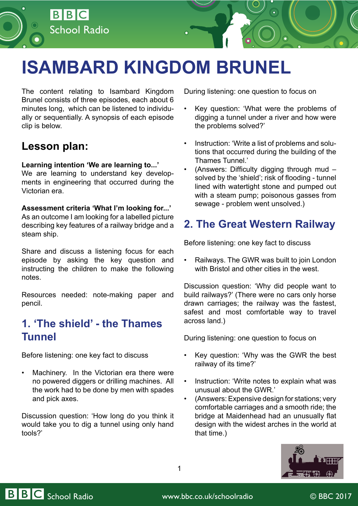

The content relating to Isambard Kingdom Brunel consists of three episodes, each about 6 minutes long, which can be listened to individually or sequentially. A synopsis of each episode clip is below.

School Radio

BBC

### **Lesson plan:**

#### **Learning intention 'We are learning to...'**

We are learning to understand key developments in engineering that occurred during the Victorian era.

#### **Assessment criteria 'What I'm looking for...'**

As an outcome I am looking for a labelled picture describing key features of a railway bridge and a steam ship.

Share and discuss a listening focus for each episode by asking the key question and instructing the children to make the following notes.

Resources needed: note-making paper and pencil.

## **[1. 'The shield' - the Thames](http://www.bbc.co.uk/programmes/p05903k3)  [Tunnel](http://www.bbc.co.uk/programmes/p05903k3)**

Before listening: one key fact to discuss

Machinery. In the Victorian era there were no powered diggers or drilling machines. All the work had to be done by men with spades and pick axes.

Discussion question: 'How long do you think it would take you to dig a tunnel using only hand tools?'

During listening: one question to focus on

- Key question: 'What were the problems of digging a tunnel under a river and how were the problems solved?'
- Instruction: 'Write a list of problems and solutions that occurred during the building of the Thames Tunnel.'
- (Answers: Difficulty digging through mud solved by the 'shield'; risk of flooding - tunnel lined with watertight stone and pumped out with a steam pump; poisonous gasses from sewage - problem went unsolved.)

# **[2. The Great Western Railway](http://www.bbc.co.uk/programmes/p05903kc)**

Before listening: one key fact to discuss

• Railways. The GWR was built to join London with Bristol and other cities in the west.

Discussion question: 'Why did people want to build railways?' (There were no cars only horse drawn carriages; the railway was the fastest, safest and most comfortable way to travel across land.)

During listening: one question to focus on

- Key question: 'Why was the GWR the best railway of its time?'
- Instruction: 'Write notes to explain what was unusual about the GWR.'
- (Answers: Expensive design for stations; very comfortable carriages and a smooth ride; the bridge at Maidenhead had an unusually flat design with the widest arches in the world at that time.)



1

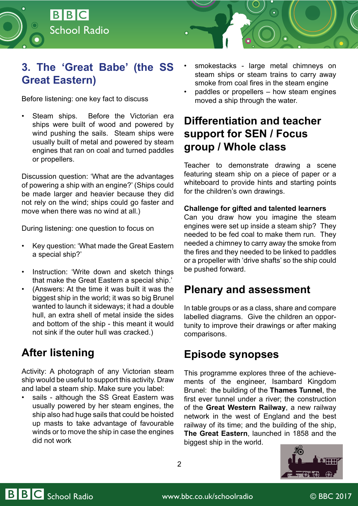

# **[3. The 'Great Babe' \(the SS](http://www.bbc.co.uk/programmes/p05903mm) [Great Eastern\)](http://www.bbc.co.uk/programmes/p05903mm)**

Before listening: one key fact to discuss

Steam ships. Before the Victorian era ships were built of wood and powered by wind pushing the sails. Steam ships were usually built of metal and powered by steam engines that ran on coal and turned paddles or propellers.

Discussion question: 'What are the advantages of powering a ship with an engine?' (Ships could be made larger and heavier because they did not rely on the wind; ships could go faster and move when there was no wind at all.)

During listening: one question to focus on

- Key question: 'What made the Great Eastern a special ship?'
- Instruction: 'Write down and sketch things that make the Great Eastern a special ship.'
- (Answers: At the time it was built it was the biggest ship in the world; it was so big Brunel wanted to launch it sideways; it had a double hull, an extra shell of metal inside the sides and bottom of the ship - this meant it would not sink if the outer hull was cracked.)

# **After listening**

Activity: A photograph of any Victorian steam ship would be useful to support this activity. Draw and label a steam ship. Make sure you label:

sails - although the SS Great Eastern was usually powered by her steam engines, the ship also had huge sails that could be hoisted up masts to take advantage of favourable winds or to move the ship in case the engines did not work

- smokestacks large metal chimneys on steam ships or steam trains to carry away smoke from coal fires in the steam engine
- paddles or propellers how steam engines moved a ship through the water.

# **Differentiation and teacher support for SEN / Focus group / Whole class**

Teacher to demonstrate drawing a scene featuring steam ship on a piece of paper or a whiteboard to provide hints and starting points for the children's own drawings.

### **Challenge for gifted and talented learners**

Can you draw how you imagine the steam engines were set up inside a steam ship? They needed to be fed coal to make them run. They needed a chimney to carry away the smoke from the fires and they needed to be linked to paddles or a propeller with 'drive shafts' so the ship could be pushed forward.

## **Plenary and assessment**

In table groups or as a class, share and compare labelled diagrams. Give the children an opportunity to improve their drawings or after making comparisons.

## **Episode synopses**

This programme explores three of the achievements of the engineer, Isambard Kingdom Brunel: the building of the **Thames Tunnel**, the first ever tunnel under a river; the construction of the **Great Western Railway**, a new railway network in the west of England and the best railway of its time; and the building of the ship, **The Great Eastern**, launched in 1858 and the biggest ship in the world.



2

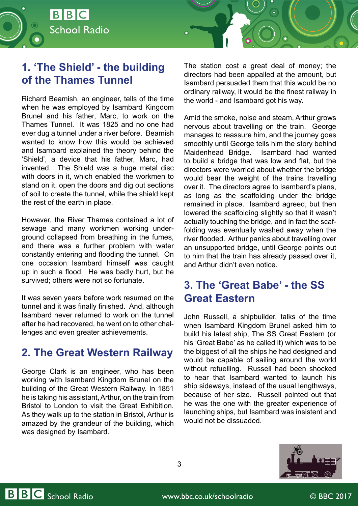

# **[1. 'The Shield' - the building](http://www.bbc.co.uk/programmes/p05903k3)  [of the Thames Tunnel](http://www.bbc.co.uk/programmes/p05903k3)**

Richard Beamish, an engineer, tells of the time when he was employed by Isambard Kingdom Brunel and his father, Marc, to work on the Thames Tunnel. It was 1825 and no one had ever dug a tunnel under a river before. Beamish wanted to know how this would be achieved and Isambard explained the theory behind the 'Shield', a device that his father, Marc, had invented. The Shield was a huge metal disc with doors in it, which enabled the workmen to stand on it, open the doors and dig out sections of soil to create the tunnel, while the shield kept the rest of the earth in place.

However, the River Thames contained a lot of sewage and many workmen working underground collapsed from breathing in the fumes, and there was a further problem with water constantly entering and flooding the tunnel. On one occasion Isambard himself was caught up in such a flood. He was badly hurt, but he survived; others were not so fortunate.

It was seven years before work resumed on the tunnel and it was finally finished. And, although Isambard never returned to work on the tunnel after he had recovered, he went on to other challenges and even greater achievements.

## **[2. The Great Western Railway](http://www.bbc.co.uk/programmes/p05903kc)**

George Clark is an engineer, who has been working with Isambard Kingdom Brunel on the building of the Great Western Railway. In 1851 he is taking his assistant, Arthur, on the train from Bristol to London to visit the Great Exhibition. As they walk up to the station in Bristol, Arthur is amazed by the grandeur of the building, which was designed by Isambard.

The station cost a great deal of money; the directors had been appalled at the amount, but Isambard persuaded them that this would be no ordinary railway, it would be the finest railway in the world - and Isambard got his way.

Amid the smoke, noise and steam, Arthur grows nervous about travelling on the train. George manages to reassure him, and the journey goes smoothly until George tells him the story behind Maidenhead Bridge. Isambard had wanted to build a bridge that was low and flat, but the directors were worried about whether the bridge would bear the weight of the trains travelling over it. The directors agree to Isambard's plans, as long as the scaffolding under the bridge remained in place. Isambard agreed, but then lowered the scaffolding slightly so that it wasn't actually touching the bridge, and in fact the scaffolding was eventually washed away when the river flooded. Arthur panics about travelling over an unsupported bridge, until George points out to him that the train has already passed over it, and Arthur didn't even notice.

# **[3. The 'Great Babe' - the SS](http://www.bbc.co.uk/programmes/p05903mm)  [Great Eastern](http://www.bbc.co.uk/programmes/p05903mm)**

John Russell, a shipbuilder, talks of the time when Isambard Kingdom Brunel asked him to build his latest ship, The SS Great Eastern (or his 'Great Babe' as he called it) which was to be the biggest of all the ships he had designed and would be capable of sailing around the world without refuelling. Russell had been shocked to hear that Isambard wanted to launch his ship sideways, instead of the usual lengthways, because of her size. Russell pointed out that he was the one with the greater experience of launching ships, but Isambard was insistent and would not be dissuaded.